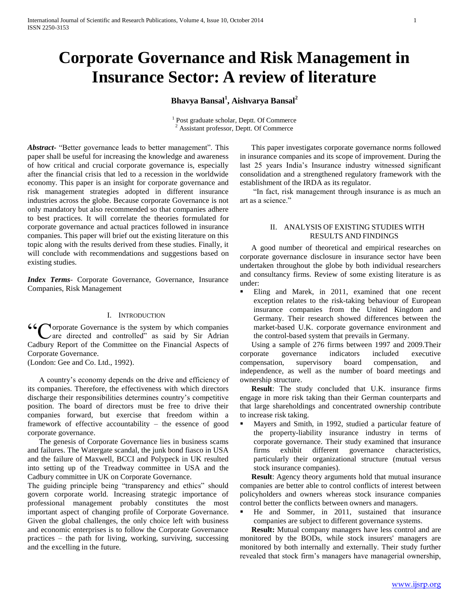# **Corporate Governance and Risk Management in Insurance Sector: A review of literature**

## **Bhavya Bansal<sup>1</sup> , Aishvarya Bansal<sup>2</sup>**

<sup>1</sup> Post graduate scholar, Deptt. Of Commerce <sup>2</sup> Assistant professor, Deptt. Of Commerce

*Abstract***-** "Better governance leads to better management". This paper shall be useful for increasing the knowledge and awareness of how critical and crucial corporate governance is, especially after the financial crisis that led to a recession in the worldwide economy. This paper is an insight for corporate governance and risk management strategies adopted in different insurance industries across the globe. Because corporate Governance is not only mandatory but also recommended so that companies adhere to best practices. It will correlate the theories formulated for corporate governance and actual practices followed in insurance companies. This paper will brief out the existing literature on this topic along with the results derived from these studies. Finally, it will conclude with recommendations and suggestions based on existing studies.

*Index Terms*- Corporate Governance, Governance, Insurance Companies, Risk Management

## I. INTRODUCTION

**Norporate Governance is the system by which companies** are directed and controlled" as said by Sir Adrian Cadbury Report of the Committee on the Financial Aspects of Corporate Governance.  $66$ 

(London: Gee and Co. Ltd., 1992).

 A country's economy depends on the drive and efficiency of its companies. Therefore, the effectiveness with which directors discharge their responsibilities determines country's competitive position. The board of directors must be free to drive their companies forward, but exercise that freedom within a framework of effective accountability – the essence of good corporate governance.

 The genesis of Corporate Governance lies in business scams and failures. The Watergate scandal, the junk bond fiasco in USA and the failure of Maxwell, BCCI and Polypeck in UK resulted into setting up of the Treadway committee in USA and the Cadbury committee in UK on Corporate Governance.

The guiding principle being "transparency and ethics" should govern corporate world. Increasing strategic importance of professional management probably constitutes the most important aspect of changing profile of Corporate Governance. Given the global challenges, the only choice left with business and economic enterprises is to follow the Corporate Governance practices – the path for living, working, surviving, successing and the excelling in the future.

 This paper investigates corporate governance norms followed in insurance companies and its scope of improvement. During the last 25 years India's Insurance industry witnessed significant consolidation and a strengthened regulatory framework with the establishment of the IRDA as its regulator.

 "In fact, risk management through insurance is as much an art as a science."

### II. ANALYSIS OF EXISTING STUDIES WITH RESULTS AND FINDINGS

 A good number of theoretical and empirical researches on corporate governance disclosure in insurance sector have been undertaken throughout the globe by both individual researchers and consultancy firms. Review of some existing literature is as under:

 Eling and Marek, in 2011, examined that one recent exception relates to the risk-taking behaviour of European insurance companies from the United Kingdom and Germany. Their research showed differences between the market-based U.K. corporate governance environment and the control-based system that prevails in Germany.

 Using a sample of 276 firms between 1997 and 2009.Their corporate governance indicators included executive compensation, supervisory board compensation, and independence, as well as the number of board meetings and ownership structure.

 **Result**: The study concluded that U.K. insurance firms engage in more risk taking than their German counterparts and that large shareholdings and concentrated ownership contribute to increase risk taking.

 Mayers and Smith, in 1992, studied a particular feature of the property-liability insurance industry in terms of corporate governance. Their study examined that insurance firms exhibit different governance characteristics, particularly their organizational structure (mutual versus stock insurance companies).

 **Result**: Agency theory arguments hold that mutual insurance companies are better able to control conflicts of interest between policyholders and owners whereas stock insurance companies control better the conflicts between owners and managers.

 He and Sommer, in 2011, sustained that insurance companies are subject to different governance systems.

 **Result:** Mutual company managers have less control and are monitored by the BODs, while stock insurers' managers are monitored by both internally and externally. Their study further revealed that stock firm's managers have managerial ownership,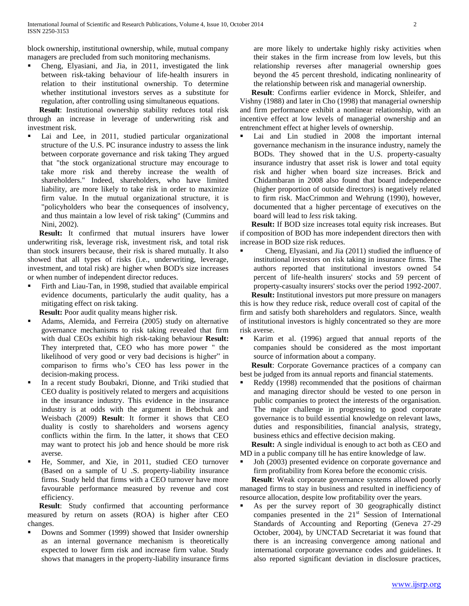block ownership, institutional ownership, while, mutual company managers are precluded from such monitoring mechanisms.

 Cheng, Elyasiani, and Jia, in 2011, investigated the link between risk-taking behaviour of life-health insurers in relation to their institutional ownership. To determine whether institutional investors serves as a substitute for regulation, after controlling using simultaneous equations.

 **Result**: Institutional ownership stability reduces total risk through an increase in leverage of underwriting risk and investment risk.

 Lai and Lee, in 2011, studied particular organizational structure of the U.S. PC insurance industry to assess the link between corporate governance and risk taking They argued that "the stock organizational structure may encourage to take more risk and thereby increase the wealth of shareholders." Indeed, shareholders, who have limited liability, are more likely to take risk in order to maximize firm value. In the mutual organizational structure, it is "policyholders who bear the consequences of insolvency, and thus maintain a low level of risk taking" (Cummins and Nini, 2002).

 **Result:** It confirmed that mutual insurers have lower underwriting risk, leverage risk, investment risk, and total risk than stock insurers because, their risk is shared mutually. It also showed that all types of risks (i.e., underwriting, leverage, investment, and total risk) are higher when BOD's size increases or when number of independent director reduces.

 Firth and Liau-Tan, in 1998, studied that available empirical evidence documents, particularly the audit quality, has a mitigating effect on risk taking.

**Result:** Poor audit quality means higher risk.

- Adams, Alemida, and Ferreira (2005) study on alternative governance mechanisms to risk taking revealed that firm with dual CEOs exhibit high risk-taking behaviour **Result:** They interpreted that, CEO who has more power " the likelihood of very good or very bad decisions is higher" in comparison to firms who's CEO has less power in the decision-making process.
- In a recent study Boubakri, Dionne, and Triki studied that CEO duality is positively related to mergers and acquisitions in the insurance industry. This evidence in the insurance industry is at odds with the argument in Bebchuk and Weisbach (2009) **Result**: It former it shows that CEO duality is costly to shareholders and worsens agency conflicts within the firm. In the latter, it shows that CEO may want to protect his job and hence should be more risk averse.
- He, Sommer, and Xie, in 2011, studied CEO turnover (Based on a sample of U .S. property-liability insurance firms. Study held that firms with a CEO turnover have more favourable performance measured by revenue and cost efficiency.

 **Result**: Study confirmed that accounting performance measured by return on assets (ROA) is higher after CEO changes.

 Downs and Sommer (1999) showed that Insider ownership as an internal governance mechanism is theoretically expected to lower firm risk and increase firm value. Study shows that managers in the property-liability insurance firms are more likely to undertake highly risky activities when their stakes in the firm increase from low levels, but this relationship reverses after managerial ownership goes beyond the 45 percent threshold, indicating nonlinearity of the relationship between risk and managerial ownership.

 **Result**: Confirms earlier evidence in Morck, Shleifer, and Vishny (1988) and later in Cho (1998) that managerial ownership and firm performance exhibit a nonlinear relationship, with an incentive effect at low levels of managerial ownership and an entrenchment effect at higher levels of ownership.

 Lai and Lin studied in 2008 the important internal governance mechanism in the insurance industry, namely the BODs. They showed that in the U.S. property-casualty insurance industry that asset risk is lower and total equity risk and higher when board size increases. Brick and Chidambaran in 2008 also found that board independence (higher proportion of outside directors) is negatively related to firm risk. MacCrimmon and Wehrung (1990), however, documented that a higher percentage of executives on the board will lead to *less* risk taking.

 **Result:** If BOD size increases total equity risk increases. But if composition of BOD has more independent directors then with increase in BOD size risk reduces.

 Cheng, Elyasiani, and Jia (2011) studied the influence of institutional investors on risk taking in insurance firms. The authors reported that institutional investors owned 54 percent of life-health insurers' stocks and 59 percent of property-casualty insurers' stocks over the period 1992-2007.

 **Result:** Institutional investors put more pressure on managers this is how they reduce risk, reduce overall cost of capital of the firm and satisfy both shareholders and regulators. Since, wealth of institutional investors is highly concentrated so they are more risk averse.

 Karim et al. (1996) argued that annual reports of the companies should be considered as the most important source of information about a company.

 **Result**: Corporate Governance practices of a company can best be judged from its annual reports and financial statements.

 Reddy (1998) recommended that the positions of chairman and managing director should be vested to one person in public companies to protect the interests of the organisation. The major challenge in progressing to good corporate governance is to build essential knowledge on relevant laws, duties and responsibilities, financial analysis, strategy, business ethics and effective decision making.

 **Result:** A single individual is enough to act both as CEO and MD in a public company till he has entire knowledge of law.

Ioh (2003) presented evidence on corporate governance and firm profitability from Korea before the economic crisis.

 **Result**: Weak corporate governance systems allowed poorly managed firms to stay in business and resulted in inefficiency of resource allocation, despite low profitability over the years.

 As per the survey report of 30 geographically distinct companies presented in the  $21<sup>st</sup>$  Session of International Standards of Accounting and Reporting (Geneva 27-29 October, 2004), by UNCTAD Secretariat it was found that there is an increasing convergence among national and international corporate governance codes and guidelines. It also reported significant deviation in disclosure practices,